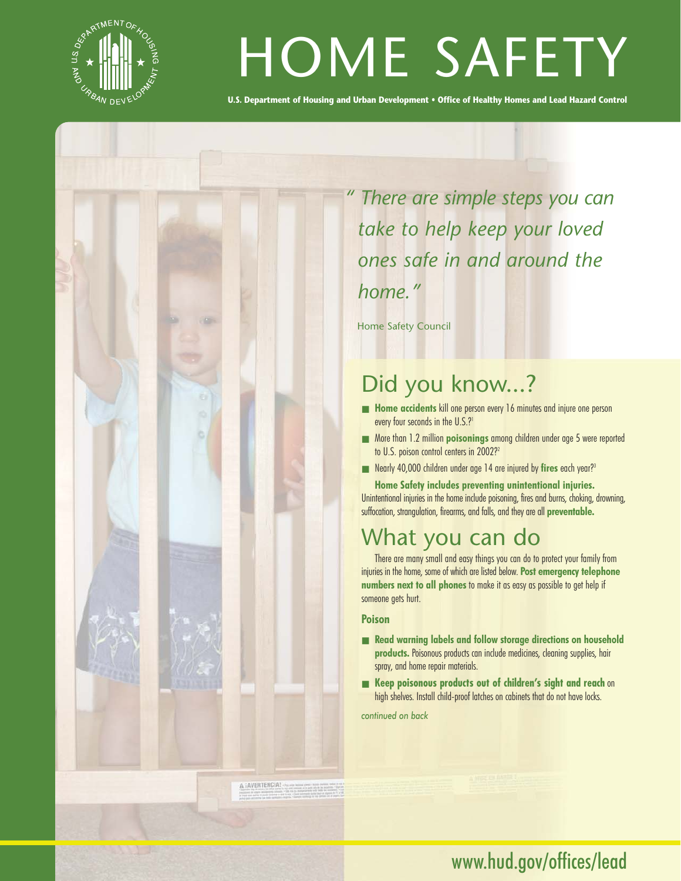

# HOME SAFETY

**U.S. Department of Housing and Urban Development • Office of Healthy Homes and Lead Hazard Control**

*" There are simple steps you can take to help keep your loved ones safe in and around the home."*

Home Safety Council

# Did you know...?

- **Home accidents** kill one person every 16 minutes and injure one person every four seconds in the U.S.?<sup>1</sup>
- More than 1.2 million **poisonings** among children under age 5 were reported to U.S. poison control centers in 2002?<sup>2</sup>
- Nearly 40,000 children under age 14 are injured by fires each year?<sup>3</sup>

**Home Safety includes preventing unintentional injuries.** Unintentional injuries in the home include poisoning, fires and burns, choking, drowning, suffocation, strangulation, firearms, and falls, and they are all **preventable.**

## What you can do

There are many small and easy things you can do to protect your family from injuries in the home, some of which are listed below. **Post emergency telephone numbers next to all phones** to make it as easy as possible to get help if someone gets hurt.

#### **Poison**

- **Read warning labels and follow storage directions on household products.** Poisonous products can include medicines, cleaning supplies, hair spray, and home repair materials.
- **Keep poisonous products out of children's sight and reach** on high shelves. Install child-proof latches on cabinets that do not have locks.

*continued on back*

A JAVERTENCIA!

www.hud.gov/offices/lead